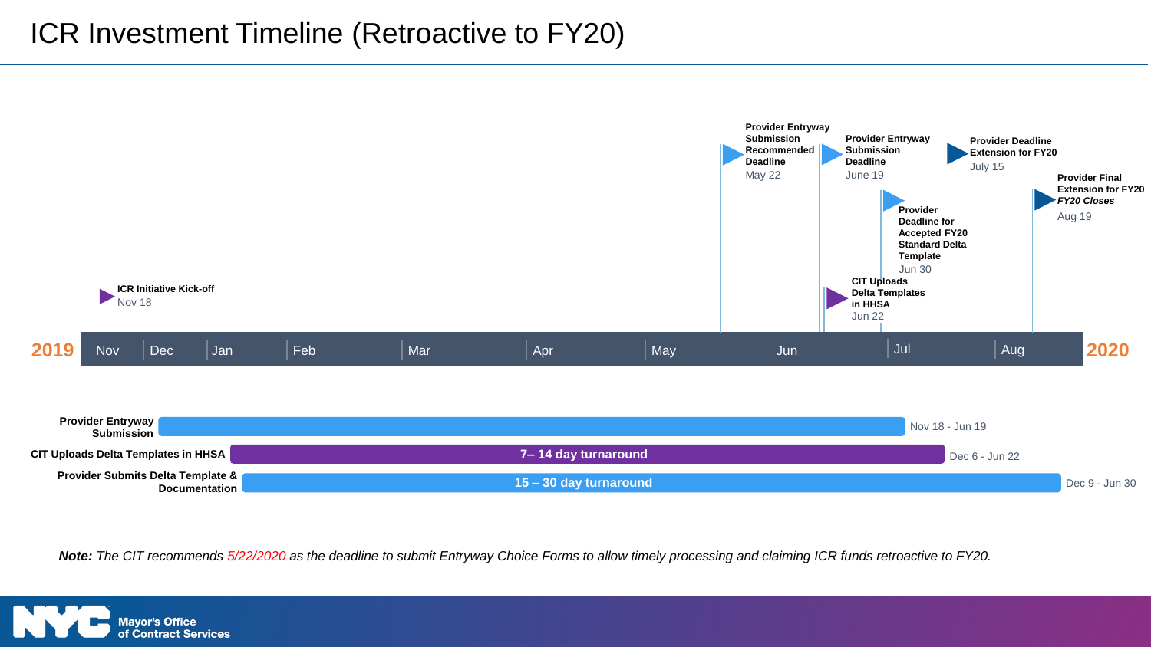

*Note: The CIT recommends 5/22/2020 as the deadline to submit Entryway Choice Forms to allow timely processing and claiming ICR funds retroactive to FY20.*